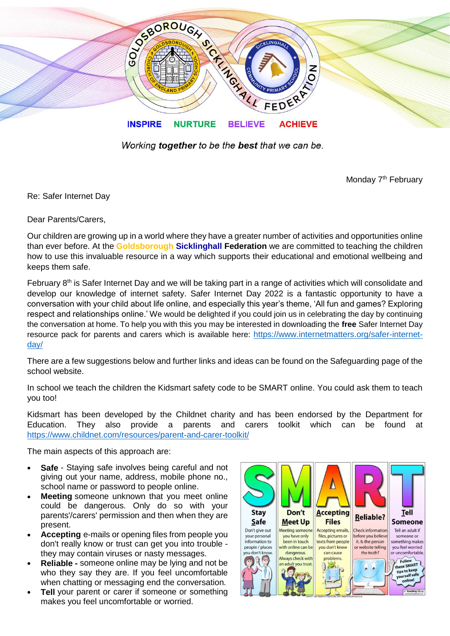

Working together to be the best that we can be.

Monday 7<sup>th</sup> February

Re: Safer Internet Day

Dear Parents/Carers,

Our children are growing up in a world where they have a greater number of activities and opportunities online than ever before. At the **Goldsborough Sicklinghall Federation** we are committed to teaching the children how to use this invaluable resource in a way which supports their educational and emotional wellbeing and keeps them safe.

February 8<sup>th</sup> is Safer Internet Day and we will be taking part in a range of activities which will consolidate and develop our knowledge of internet safety. Safer Internet Day 2022 is a fantastic opportunity to have a conversation with your child about life online, and especially this year's theme, 'All fun and games? Exploring respect and relationships online.' We would be delighted if you could join us in celebrating the day by continuing the conversation at home. To help you with this you may be interested in downloading the **free** Safer Internet Day resource pack for parents and carers which is available here: [https://www.internetmatters.org/safer-internet](https://www.internetmatters.org/safer-internet-day/)[day/](https://www.internetmatters.org/safer-internet-day/)

There are a few suggestions below and further links and ideas can be found on the Safeguarding page of the school website.

In school we teach the children the Kidsmart safety code to be SMART online. You could ask them to teach you too!

Kidsmart has been developed by the Childnet charity and has been endorsed by the Department for Education. They also provide a parents and carers toolkit which can be found at <https://www.childnet.com/resources/parent-and-carer-toolkit/>

The main aspects of this approach are:

- **Safe** Staying safe involves being careful and not giving out your name, address, mobile phone no., school name or password to people online.
- **Meeting** someone unknown that you meet online could be dangerous. Only do so with your parents'/carers' permission and then when they are present.
- **Accepting** e-mails or opening files from people you don't really know or trust can get you into trouble they may contain viruses or nasty messages.
- **Reliable -** someone online may be lying and not be who they say they are. If you feel uncomfortable when chatting or messaging end the conversation.
- **Tell** your parent or carer if someone or something makes you feel uncomfortable or worried.